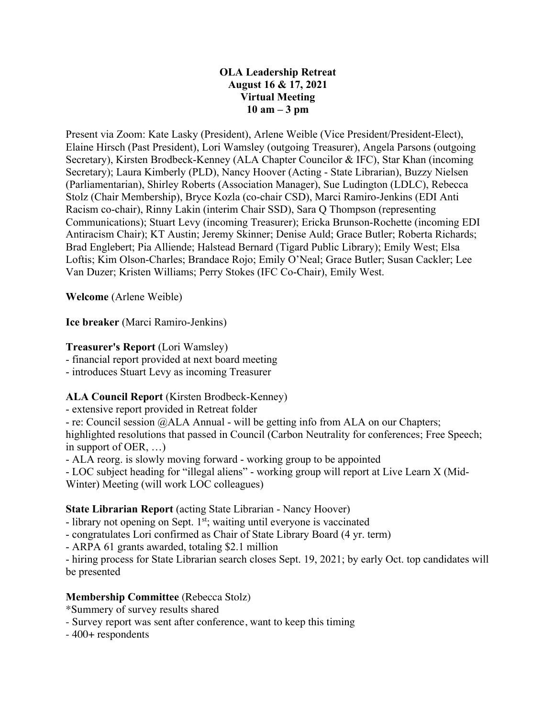### **OLA Leadership Retreat August 16 & 17, 2021 Virtual Meeting 10 am – 3 pm**

Present via Zoom: Kate Lasky (President), Arlene Weible (Vice President/President-Elect), Elaine Hirsch (Past President), Lori Wamsley (outgoing Treasurer), Angela Parsons (outgoing Secretary), Kirsten Brodbeck-Kenney (ALA Chapter Councilor & IFC), Star Khan (incoming Secretary); Laura Kimberly (PLD), Nancy Hoover (Acting - State Librarian), Buzzy Nielsen (Parliamentarian), Shirley Roberts (Association Manager), Sue Ludington (LDLC), Rebecca Stolz (Chair Membership), Bryce Kozla (co-chair CSD), Marci Ramiro-Jenkins (EDI Anti Racism co-chair), Rinny Lakin (interim Chair SSD), Sara Q Thompson (representing Communications); Stuart Levy (incoming Treasurer); Ericka Brunson-Rochette (incoming EDI Antiracism Chair); KT Austin; Jeremy Skinner; Denise Auld; Grace Butler; Roberta Richards; Brad Englebert; Pia Alliende; Halstead Bernard (Tigard Public Library); Emily West; Elsa Loftis; Kim Olson-Charles; Brandace Rojo; Emily O'Neal; Grace Butler; Susan Cackler; Lee Van Duzer; Kristen Williams; Perry Stokes (IFC Co-Chair), Emily West.

**Welcome** (Arlene Weible)

**Ice breaker** (Marci Ramiro-Jenkins)

## **Treasurer's Report** (Lori Wamsley)

- financial report provided at next board meeting

- introduces Stuart Levy as incoming Treasurer

## **ALA Council Report** (Kirsten Brodbeck-Kenney)

- extensive report provided in Retreat folder

- re: Council session @ALA Annual - will be getting info from ALA on our Chapters;

highlighted resolutions that passed in Council (Carbon Neutrality for conferences; Free Speech; in support of OER, …)

- ALA reorg. is slowly moving forward - working group to be appointed

- LOC subject heading for "illegal aliens" - working group will report at Live Learn X (Mid-Winter) Meeting (will work LOC colleagues)

## **State Librarian Report** (acting State Librarian - Nancy Hoover)

- library not opening on Sept. 1<sup>st</sup>; waiting until everyone is vaccinated

- congratulates Lori confirmed as Chair of State Library Board (4 yr. term)

- ARPA 61 grants awarded, totaling \$2.1 million

- hiring process for State Librarian search closes Sept. 19, 2021; by early Oct. top candidates will be presented

## **Membership Committee** (Rebecca Stolz)

- \*Summery of survey results shared
- Survey report was sent after conference, want to keep this timing
- 400+ respondents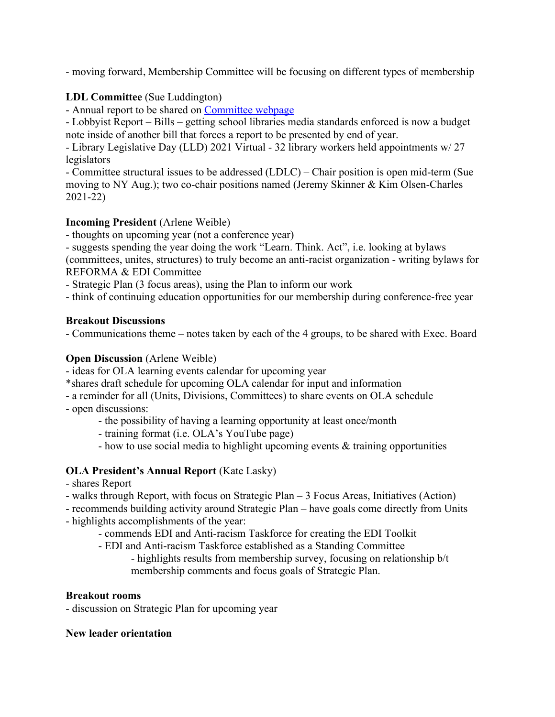- moving forward, Membership Committee will be focusing on different types of membership

## **LDL Committee** (Sue Luddington)

- Annual report to be shared on Committee webpage

- Lobbyist Report – Bills – getting school libraries media standards enforced is now a budget note inside of another bill that forces a report to be presented by end of year.

- Library Legislative Day (LLD) 2021 Virtual - 32 library workers held appointments w/ 27 legislators

- Committee structural issues to be addressed (LDLC) – Chair position is open mid-term (Sue moving to NY Aug.); two co-chair positions named (Jeremy Skinner & Kim Olsen-Charles 2021-22)

### **Incoming President** (Arlene Weible)

- thoughts on upcoming year (not a conference year)

- suggests spending the year doing the work "Learn. Think. Act", i.e. looking at bylaws (committees, unites, structures) to truly become an anti-racist organization - writing bylaws for REFORMA & EDI Committee

- Strategic Plan (3 focus areas), using the Plan to inform our work

- think of continuing education opportunities for our membership during conference-free year

#### **Breakout Discussions**

- Communications theme – notes taken by each of the 4 groups, to be shared with Exec. Board

#### **Open Discussion** (Arlene Weible)

- ideas for OLA learning events calendar for upcoming year

\*shares draft schedule for upcoming OLA calendar for input and information

- a reminder for all (Units, Divisions, Committees) to share events on OLA schedule
- open discussions:

- the possibility of having a learning opportunity at least once/month

- training format (i.e. OLA's YouTube page)
- how to use social media to highlight upcoming events & training opportunities

### **OLA President's Annual Report** (Kate Lasky)

- shares Report
- walks through Report, with focus on Strategic Plan 3 Focus Areas, Initiatives (Action)

- recommends building activity around Strategic Plan – have goals come directly from Units - highlights accomplishments of the year:

- commends EDI and Anti-racism Taskforce for creating the EDI Toolkit
- EDI and Anti-racism Taskforce established as a Standing Committee

### - highlights results from membership survey, focusing on relationship b/t membership comments and focus goals of Strategic Plan.

#### **Breakout rooms**

- discussion on Strategic Plan for upcoming year

#### **New leader orientation**